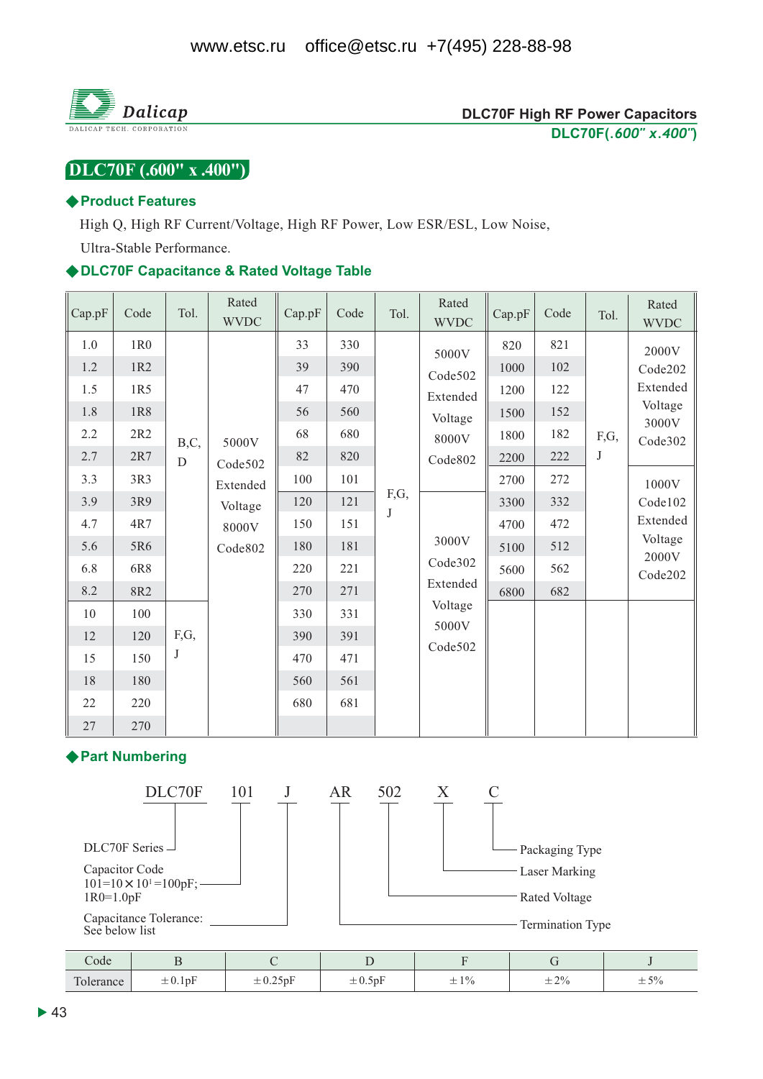

## $DLC70F(0.600'' X.400'')$

#### ◆ Product Features

High Q, High RF Current/Voltage, High RF Power, Low ESR/ESL, Low Noise,

Ultra-Stable Performance.

#### ◆DLC70F Capacitance & Rated Voltage Table

| Cap.pF                                                                                                   | Code                                                                                                              | Tol.                   | Rated<br><b>WVDC</b>                                         | Cap.pF                                                                                          | Code                                                                                                  | Tol.            | Rated<br><b>WVDC</b>                                                                                                       | Cap.pF                                                                                      | Code                                                                             | Tol.      | Rated<br><b>WVDC</b>                                                                                                       |
|----------------------------------------------------------------------------------------------------------|-------------------------------------------------------------------------------------------------------------------|------------------------|--------------------------------------------------------------|-------------------------------------------------------------------------------------------------|-------------------------------------------------------------------------------------------------------|-----------------|----------------------------------------------------------------------------------------------------------------------------|---------------------------------------------------------------------------------------------|----------------------------------------------------------------------------------|-----------|----------------------------------------------------------------------------------------------------------------------------|
| 1.0<br>1.2<br>1.5<br>1.8<br>2.2<br>2.7<br>3.3<br>3.9<br>4.7<br>5.6<br>6.8<br>8.2<br>10<br>12<br>15<br>18 | 1R <sub>0</sub><br>1R2<br>1R5<br>1R8<br>2R2<br>2R7<br>3R3<br>3R9<br>4R7<br>5R6<br>6R8<br>8R2<br>100<br>120<br>150 | B,C,<br>D<br>F,G,<br>J | 5000V<br>Code502<br>Extended<br>Voltage<br>8000V<br>Code 802 | 33<br>39<br>47<br>56<br>68<br>82<br>100<br>120<br>150<br>180<br>220<br>270<br>330<br>390<br>470 | 330<br>390<br>470<br>560<br>680<br>820<br>101<br>121<br>151<br>181<br>221<br>271<br>331<br>391<br>471 | F,G,<br>$\bf J$ | 5000V<br>Code502<br>Extended<br>Voltage<br>8000V<br>Code802<br>3000V<br>Code302<br>Extended<br>Voltage<br>5000V<br>Code502 | 820<br>1000<br>1200<br>1500<br>1800<br>2200<br>2700<br>3300<br>4700<br>5100<br>5600<br>6800 | 821<br>102<br>122<br>152<br>182<br>222<br>272<br>332<br>472<br>512<br>562<br>682 | F,G,<br>J | 2000V<br>Code202<br>Extended<br>Voltage<br>3000V<br>Code302<br>1000V<br>Code102<br>Extended<br>Voltage<br>2000V<br>Code202 |
| 22<br>27                                                                                                 | 180<br>220<br>270                                                                                                 |                        |                                                              | 560<br>680                                                                                      | 561<br>681                                                                                            |                 |                                                                                                                            |                                                                                             |                                                                                  |           |                                                                                                                            |

#### ◆ Part Numbering



| code           |              |                             |                                 |                     |            |                                              |
|----------------|--------------|-----------------------------|---------------------------------|---------------------|------------|----------------------------------------------|
| Tole.<br>rance | $\pm 0.1$ pF | $\sim$ $ \sim$<br>$\pm 0.2$ | $\mathbf{r}$<br>$\pm$ 0.0 $\mu$ | $1\%$<br>—<br>$-1/$ | $\pm\,2\%$ | 50.<br>$\overline{\phantom{0}}$<br>$ \sim$ / |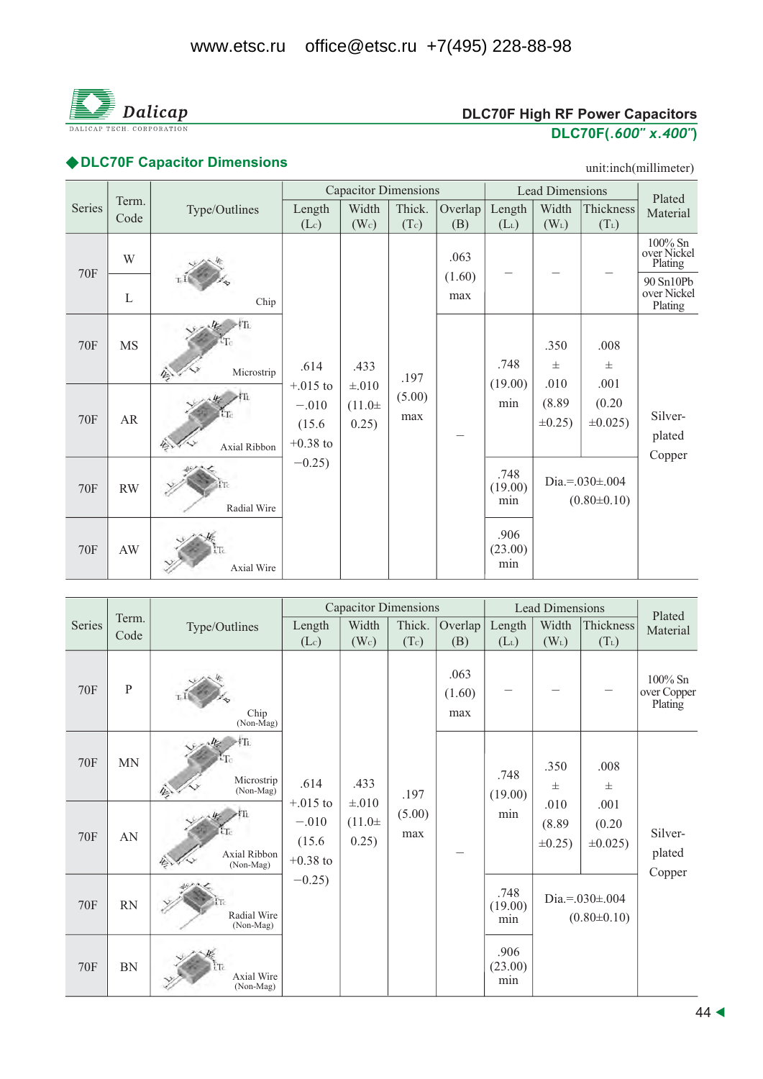

# **DLC70F High RF Power Capacitors** <u>DLC70F(.600" x.400")</u>

# ◆DLC70F Capacitor Dimensions and the contract of the contract of the contract of the contract of the contract of the contract of the contract of the contract of the contract of the contract of the contract of the contract

unit:inch(millimeter)

|            |               |               |                                                                    | <b>Capacitor Dimensions</b>                |                       |                |                             | <b>Lead Dimensions</b>         |                                          | Plated                              |
|------------|---------------|---------------|--------------------------------------------------------------------|--------------------------------------------|-----------------------|----------------|-----------------------------|--------------------------------|------------------------------------------|-------------------------------------|
| Series     | Term.<br>Code | Type/Outlines | Length<br>(Lc)                                                     | Width<br>(W <sub>c</sub> )                 | Thick.<br>(Tc)        | Overlap<br>(B) | Length<br>(L <sub>L</sub> ) | Width<br>$(W_L)$               | Thickness<br>$(T_L)$                     | Material                            |
| <b>70F</b> | W             |               |                                                                    |                                            |                       | .063           |                             |                                |                                          | 100% Sn<br>over Nickel<br>Plating   |
|            | L             | Chip          |                                                                    |                                            |                       | (1.60)<br>max  |                             |                                |                                          | 90 Sn10Pb<br>over Nickel<br>Plating |
| <b>70F</b> | <b>MS</b>     | Microstrip    | .614<br>$+.015$ to<br>$-.010$<br>(15.6)<br>$+0.38$ to<br>$-0.25$ ) | .433<br>$\pm .010$<br>$(11.0 \pm$<br>0.25) | .197<br>(5.00)<br>max |                | .748<br>(19.00)<br>min      | .350<br>$_{\pm}$               | .008<br>$_{\pm}$                         |                                     |
| <b>70F</b> | AR            | Axial Ribbon  |                                                                    |                                            |                       |                |                             | .010<br>(8.89)<br>$\pm 0.25$ ) | .001<br>(0.20)<br>$\pm 0.025$ )          | Silver-<br>plated<br>Copper         |
| <b>70F</b> | <b>RW</b>     | Radial Wire   |                                                                    |                                            |                       |                | .748<br>(19.00)<br>min      |                                | Dia.=. $030\pm.004$<br>$(0.80 \pm 0.10)$ |                                     |
| <b>70F</b> | AW            | Axial Wire    |                                                                    |                                            |                       |                | .906<br>(23.00)<br>min      |                                |                                          |                                     |

|            |               |                                |                                                                    | <b>Capacitor Dimensions</b>                |                       |                       |                        | <b>Lead Dimensions</b>         |                                          | Plated                               |
|------------|---------------|--------------------------------|--------------------------------------------------------------------|--------------------------------------------|-----------------------|-----------------------|------------------------|--------------------------------|------------------------------------------|--------------------------------------|
| Series     | Term.<br>Code | Type/Outlines                  | Length<br>$(L_c)$                                                  | Width<br>(W <sub>c</sub> )                 | Thick.<br>(Tc)        | Overlap<br>(B)        | Length<br>$(L_L)$      | Width<br>$(W_L)$               | Thickness<br>$(T_L)$                     | Material                             |
| <b>70F</b> | $\, {\bf P}$  | Chip<br>$(Non-Mag)$            | .614<br>$+.015$ to<br>$-.010$<br>(15.6)<br>$+0.38$ to<br>$-0.25$ ) | .433<br>$\pm .010$<br>$(11.0 \pm$<br>0.25) | .197<br>(5.00)<br>max | .063<br>(1.60)<br>max |                        |                                |                                          | $100\%$ Sn<br>over Copper<br>Plating |
| <b>70F</b> | <b>MN</b>     | Microstrip<br>(Non-Mag)        |                                                                    |                                            |                       |                       | .748<br>(19.00)<br>min | .350<br>$_{\pm}$               | .008<br>$\pm$                            | Silver-<br>plated<br>Copper          |
| <b>70F</b> | AN            | Axial Ribbon<br>(Non-Mag)      |                                                                    |                                            |                       |                       |                        | .010<br>(8.89)<br>$\pm 0.25$ ) | .001<br>(0.20)<br>$\pm 0.025$ )          |                                      |
| <b>70F</b> | <b>RN</b>     | Radial Wire<br>(Non-Mag)       |                                                                    |                                            |                       |                       | .748<br>(19.00)<br>min |                                | Dia.=. $030\pm.004$<br>$(0.80 \pm 0.10)$ |                                      |
| <b>70F</b> | BN            | <b>Axial Wire</b><br>(Non-Mag) |                                                                    |                                            |                       |                       | .906<br>(23.00)<br>min |                                |                                          |                                      |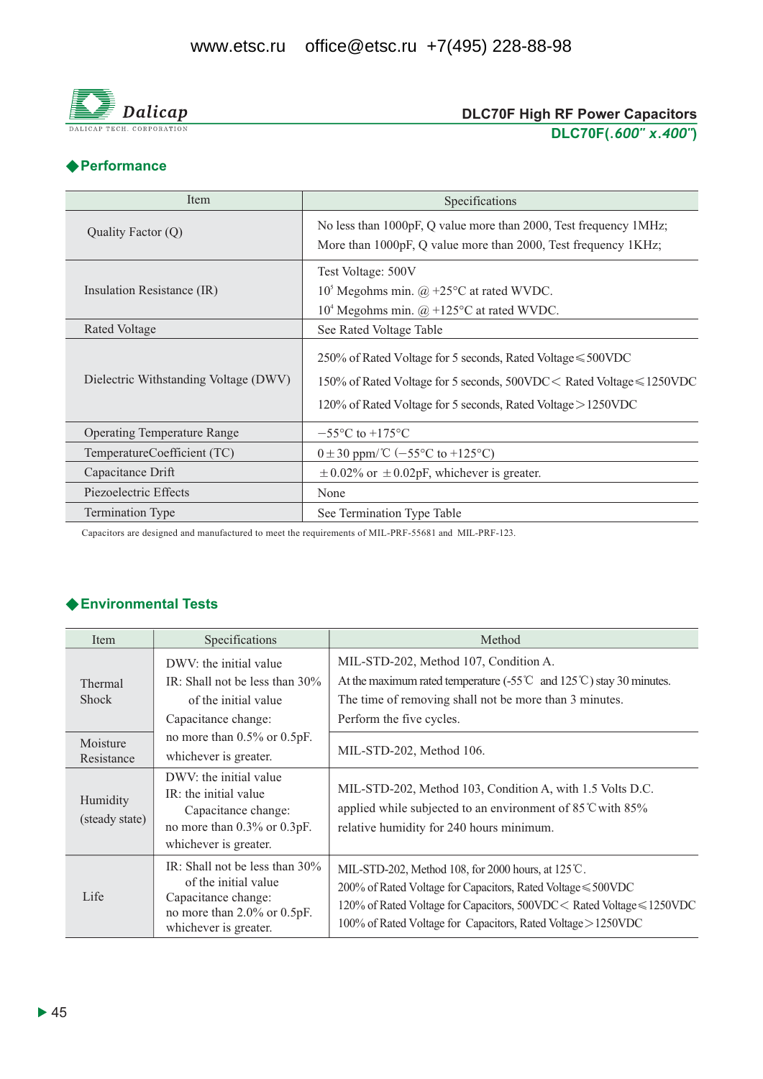

#### **DLC70F High RF Power Capacitors** DLC70F(.600" x.400")

### ◆ Performance

| Item                                  | Specifications                                                                                                                                                                                                    |  |  |  |  |
|---------------------------------------|-------------------------------------------------------------------------------------------------------------------------------------------------------------------------------------------------------------------|--|--|--|--|
| Quality Factor (Q)                    | No less than 1000pF, Q value more than 2000, Test frequency 1MHz;<br>More than 1000pF, Q value more than 2000, Test frequency 1KHz;                                                                               |  |  |  |  |
| Insulation Resistance (IR)            | Test Voltage: 500V<br>$105$ Megohms min. @ +25 $\rm{^{\circ}C}$ at rated WVDC.<br>$104$ Megohms min. $\omega$ +125°C at rated WVDC.                                                                               |  |  |  |  |
| Rated Voltage                         | See Rated Voltage Table                                                                                                                                                                                           |  |  |  |  |
| Dielectric Withstanding Voltage (DWV) | 250% of Rated Voltage for 5 seconds, Rated Voltage $\leq 500$ VDC<br>150% of Rated Voltage for 5 seconds, $500VDC <$ Rated Voltage $\leq 1250VDC$<br>120% of Rated Voltage for 5 seconds, Rated Voltage > 1250VDC |  |  |  |  |
| <b>Operating Temperature Range</b>    | $-55^{\circ}$ C to $+175^{\circ}$ C                                                                                                                                                                               |  |  |  |  |
| TemperatureCoefficient (TC)           | $0 \pm 30$ ppm/°C (-55°C to +125°C)                                                                                                                                                                               |  |  |  |  |
| Capacitance Drift                     | $\pm$ 0.02% or $\pm$ 0.02pF, whichever is greater.                                                                                                                                                                |  |  |  |  |
| Piezoelectric Effects                 | None                                                                                                                                                                                                              |  |  |  |  |
| <b>Termination Type</b>               | See Termination Type Table                                                                                                                                                                                        |  |  |  |  |

Capacitors are designed and manufactured to meet the requirements of MIL-PRF-55681 and MIL-PRF-123.

#### ◆ Environmental Tests

| Item                       | Specifications                                                                                                                              | Method                                                                                                                                                                                                                                                                  |
|----------------------------|---------------------------------------------------------------------------------------------------------------------------------------------|-------------------------------------------------------------------------------------------------------------------------------------------------------------------------------------------------------------------------------------------------------------------------|
| Thermal<br><b>Shock</b>    | DWV: the initial value<br>IR: Shall not be less than $30\%$<br>of the initial value<br>Capacitance change:                                  | MIL-STD-202, Method 107, Condition A.<br>At the maximum rated temperature (-55°C and 125°C) stay 30 minutes.<br>The time of removing shall not be more than 3 minutes.<br>Perform the five cycles.                                                                      |
| Moisture<br>Resistance     | no more than $0.5\%$ or $0.5pF$ .<br>whichever is greater.                                                                                  | MIL-STD-202, Method 106.                                                                                                                                                                                                                                                |
| Humidity<br>(steady state) | DWV: the initial value<br>IR: the initial value<br>Capacitance change:<br>no more than 0.3% or 0.3pF.<br>whichever is greater.              | MIL-STD-202, Method 103, Condition A, with 1.5 Volts D.C.<br>applied while subjected to an environment of 85 °C with 85%<br>relative humidity for 240 hours minimum.                                                                                                    |
| Life                       | IR: Shall not be less than 30%<br>of the initial value<br>Capacitance change:<br>no more than $2.0\%$ or $0.5pF$ .<br>whichever is greater. | MIL-STD-202, Method 108, for 2000 hours, at $125^{\circ}$ C.<br>200% of Rated Voltage for Capacitors, Rated Voltage ≤ 500VDC<br>120% of Rated Voltage for Capacitors, 500VDC < Rated Voltage ≤ 1250VDC<br>100% of Rated Voltage for Capacitors, Rated Voltage > 1250VDC |